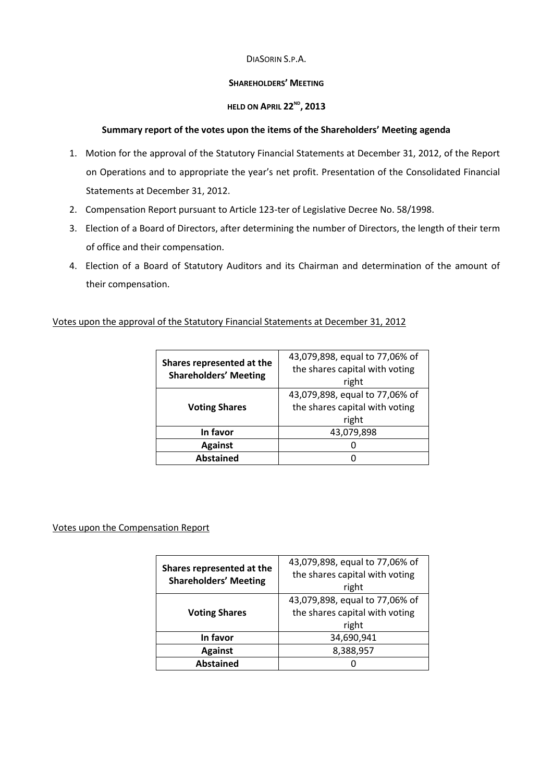#### DIASORIN S.P.A.

#### **SHAREHOLDERS' MEETING**

#### **HELD ON APRIL 22ND , 2013**

#### **Summary report of the votes upon the items of the Shareholders' Meeting agenda**

- 1. Motion for the approval of the Statutory Financial Statements at December 31, 2012, of the Report on Operations and to appropriate the year's net profit. Presentation of the Consolidated Financial Statements at December 31, 2012.
- 2. Compensation Report pursuant to Article 123-ter of Legislative Decree No. 58/1998.
- 3. Election of a Board of Directors, after determining the number of Directors, the length of their term of office and their compensation.
- 4. Election of a Board of Statutory Auditors and its Chairman and determination of the amount of their compensation.

## Votes upon the approval of the Statutory Financial Statements at December 31, 2012

| Shares represented at the<br><b>Shareholders' Meeting</b> | 43,079,898, equal to 77,06% of<br>the shares capital with voting |
|-----------------------------------------------------------|------------------------------------------------------------------|
|                                                           | right                                                            |
| <b>Voting Shares</b>                                      | 43,079,898, equal to 77,06% of                                   |
|                                                           | the shares capital with voting                                   |
|                                                           | right                                                            |
| In favor                                                  | 43,079,898                                                       |
| <b>Against</b>                                            | O                                                                |
| <b>Abstained</b>                                          | 0                                                                |

## Votes upon the Compensation Report

| Shares represented at the<br><b>Shareholders' Meeting</b> | 43,079,898, equal to 77,06% of<br>the shares capital with voting<br>right |
|-----------------------------------------------------------|---------------------------------------------------------------------------|
| <b>Voting Shares</b>                                      | 43,079,898, equal to 77,06% of<br>the shares capital with voting<br>right |
| In favor                                                  | 34,690,941                                                                |
| <b>Against</b>                                            | 8,388,957                                                                 |
| <b>Abstained</b>                                          | 0                                                                         |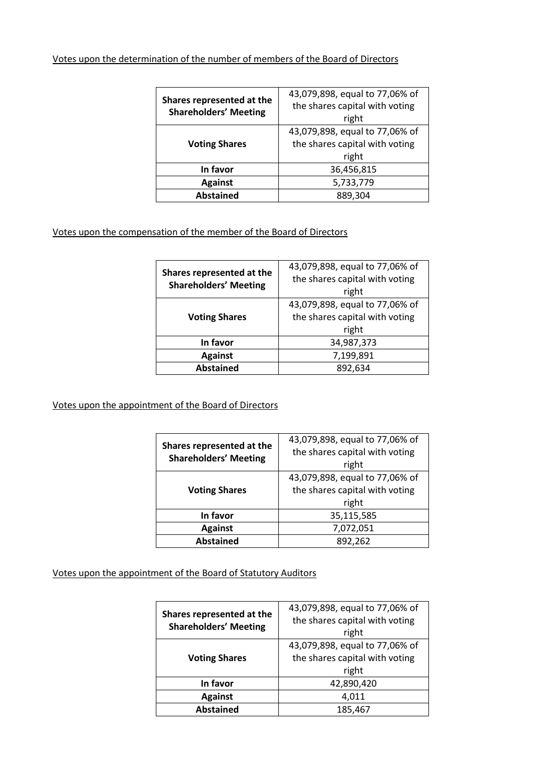## Votes upon the determination of the number of members of the Board of Directors

| Shares represented at the<br><b>Shareholders' Meeting</b> | 43,079,898, equal to 77,06% of<br>the shares capital with voting<br>right |
|-----------------------------------------------------------|---------------------------------------------------------------------------|
| <b>Voting Shares</b>                                      | 43,079,898, equal to 77,06% of<br>the shares capital with voting<br>right |
| In favor                                                  | 36,456,815                                                                |
| <b>Against</b>                                            | 5,733,779                                                                 |
| <b>Abstained</b>                                          | 889,304                                                                   |

## Votes upon the compensation of the member of the Board of Directors

| Shares represented at the<br><b>Shareholders' Meeting</b> | 43,079,898, equal to 77,06% of |
|-----------------------------------------------------------|--------------------------------|
|                                                           | the shares capital with voting |
|                                                           | right                          |
| <b>Voting Shares</b>                                      | 43,079,898, equal to 77,06% of |
|                                                           | the shares capital with voting |
|                                                           | right                          |
| In favor                                                  | 34,987,373                     |
| <b>Against</b>                                            | 7,199,891                      |
| <b>Abstained</b>                                          | 892,634                        |

## Votes upon the appointment of the Board of Directors

| Shares represented at the<br><b>Shareholders' Meeting</b> | 43,079,898, equal to 77,06% of |
|-----------------------------------------------------------|--------------------------------|
|                                                           | the shares capital with voting |
|                                                           | right                          |
| <b>Voting Shares</b>                                      | 43,079,898, equal to 77,06% of |
|                                                           | the shares capital with voting |
|                                                           | right                          |
| In favor                                                  | 35,115,585                     |
| <b>Against</b>                                            | 7,072,051                      |
| <b>Abstained</b>                                          | 892,262                        |

# Votes upon the appointment of the Board of Statutory Auditors

| Shares represented at the<br><b>Shareholders' Meeting</b> | 43,079,898, equal to 77,06% of |
|-----------------------------------------------------------|--------------------------------|
|                                                           | the shares capital with voting |
|                                                           | right                          |
| <b>Voting Shares</b>                                      | 43,079,898, equal to 77,06% of |
|                                                           | the shares capital with voting |
|                                                           | right                          |
| In favor                                                  | 42,890,420                     |
| <b>Against</b>                                            | 4,011                          |
| <b>Abstained</b>                                          | 185,467                        |